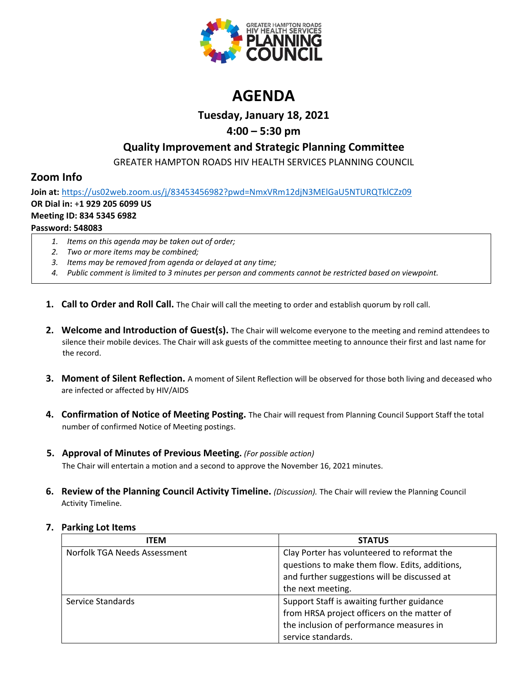

# **AGENDA**

**Tuesday, January 18, 2021**

# **4:00 – 5:30 pm**

# **Quality Improvement and Strategic Planning Committee**

GREATER HAMPTON ROADS HIV HEALTH SERVICES PLANNING COUNCIL

# **Zoom Info**

**Join at:** <https://us02web.zoom.us/j/83453456982?pwd=NmxVRm12djN3MElGaU5NTURQTklCZz09> **OR Dial in:** +**1 929 205 6099 US Meeting ID: 834 5345 6982 Password: 548083**

- *1. Items on this agenda may be taken out of order;*
- *2. Two or more items may be combined;*
- *3. Items may be removed from agenda or delayed at any time;*
- *4. Public comment is limited to 3 minutes per person and comments cannot be restricted based on viewpoint.*
- **1. Call to Order and Roll Call.** The Chair will call the meeting to order and establish quorum by roll call.
- **2. Welcome and Introduction of Guest(s).** The Chair will welcome everyone to the meeting and remind attendees to silence their mobile devices. The Chair will ask guests of the committee meeting to announce their first and last name for the record.
- **3. Moment of Silent Reflection.** A moment of Silent Reflection will be observed for those both living and deceased who are infected or affected by HIV/AIDS
- **4. Confirmation of Notice of Meeting Posting.** The Chair will request from Planning Council Support Staff the total number of confirmed Notice of Meeting postings.
- **5. Approval of Minutes of Previous Meeting.** *(For possible action)*

The Chair will entertain a motion and a second to approve the November 16, 2021 minutes.

**6. Review of the Planning Council Activity Timeline.** *(Discussion).* The Chair will review the Planning Council Activity Timeline.

| <b>ITEM</b>                  | <b>STATUS</b>                                  |
|------------------------------|------------------------------------------------|
| Norfolk TGA Needs Assessment | Clay Porter has volunteered to reformat the    |
|                              | questions to make them flow. Edits, additions, |
|                              | and further suggestions will be discussed at   |
|                              | the next meeting.                              |
| Service Standards            | Support Staff is awaiting further guidance     |
|                              | from HRSA project officers on the matter of    |
|                              | the inclusion of performance measures in       |
|                              | service standards.                             |

## **7. Parking Lot Items**